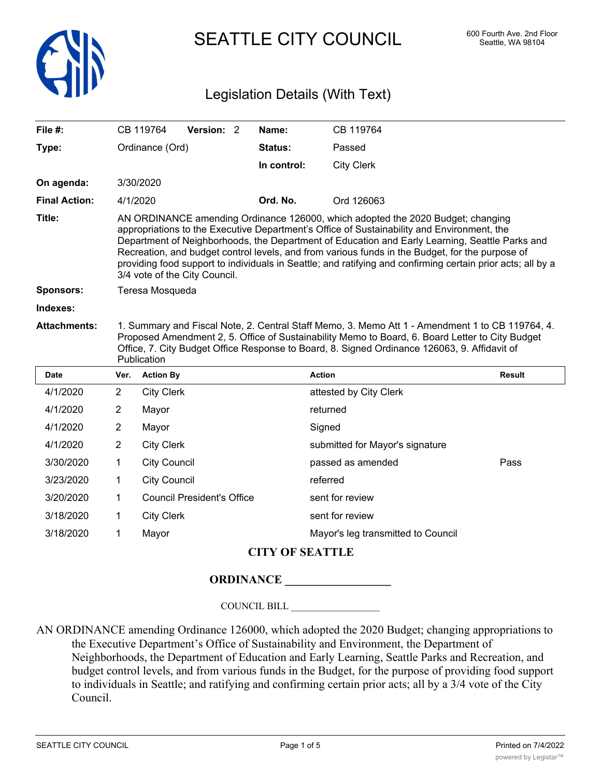

SEATTLE CITY COUNCIL 600 Fourth Ave. 2nd Floor

## Legislation Details (With Text)

| File #:              |                | CB 119764           | Version: 2                        | Name:          | CB 119764                                                                                                                                                                                                                                                                                                                                                                                                                                                                                         |               |
|----------------------|----------------|---------------------|-----------------------------------|----------------|---------------------------------------------------------------------------------------------------------------------------------------------------------------------------------------------------------------------------------------------------------------------------------------------------------------------------------------------------------------------------------------------------------------------------------------------------------------------------------------------------|---------------|
| Type:                |                | Ordinance (Ord)     |                                   | <b>Status:</b> | Passed                                                                                                                                                                                                                                                                                                                                                                                                                                                                                            |               |
|                      |                |                     |                                   | In control:    | <b>City Clerk</b>                                                                                                                                                                                                                                                                                                                                                                                                                                                                                 |               |
| On agenda:           |                | 3/30/2020           |                                   |                |                                                                                                                                                                                                                                                                                                                                                                                                                                                                                                   |               |
| <b>Final Action:</b> |                | 4/1/2020            |                                   | Ord. No.       | Ord 126063                                                                                                                                                                                                                                                                                                                                                                                                                                                                                        |               |
| Title:               |                |                     | 3/4 vote of the City Council.     |                | AN ORDINANCE amending Ordinance 126000, which adopted the 2020 Budget; changing<br>appropriations to the Executive Department's Office of Sustainability and Environment, the<br>Department of Neighborhoods, the Department of Education and Early Learning, Seattle Parks and<br>Recreation, and budget control levels, and from various funds in the Budget, for the purpose of<br>providing food support to individuals in Seattle; and ratifying and confirming certain prior acts; all by a |               |
| <b>Sponsors:</b>     |                | Teresa Mosqueda     |                                   |                |                                                                                                                                                                                                                                                                                                                                                                                                                                                                                                   |               |
| Indexes:             |                |                     |                                   |                |                                                                                                                                                                                                                                                                                                                                                                                                                                                                                                   |               |
| <b>Attachments:</b>  |                | Publication         |                                   |                | 1. Summary and Fiscal Note, 2. Central Staff Memo, 3. Memo Att 1 - Amendment 1 to CB 119764, 4.<br>Proposed Amendment 2, 5. Office of Sustainability Memo to Board, 6. Board Letter to City Budget<br>Office, 7. City Budget Office Response to Board, 8. Signed Ordinance 126063, 9. Affidavit of                                                                                                                                                                                                |               |
| <b>Date</b>          | Ver.           | <b>Action By</b>    |                                   |                | <b>Action</b>                                                                                                                                                                                                                                                                                                                                                                                                                                                                                     | <b>Result</b> |
| 4/1/2020             | $\overline{2}$ | <b>City Clerk</b>   |                                   |                | attested by City Clerk                                                                                                                                                                                                                                                                                                                                                                                                                                                                            |               |
| 4/1/2020             | 2              | Mayor               |                                   |                | returned                                                                                                                                                                                                                                                                                                                                                                                                                                                                                          |               |
| 4/1/2020             | 2              | Mayor               |                                   |                | Signed                                                                                                                                                                                                                                                                                                                                                                                                                                                                                            |               |
| 4/1/2020             | $\overline{2}$ | <b>City Clerk</b>   |                                   |                | submitted for Mayor's signature                                                                                                                                                                                                                                                                                                                                                                                                                                                                   |               |
| 3/30/2020            | 1              | <b>City Council</b> |                                   |                | passed as amended                                                                                                                                                                                                                                                                                                                                                                                                                                                                                 | Pass          |
| 3/23/2020            | 1              | <b>City Council</b> |                                   |                | referred                                                                                                                                                                                                                                                                                                                                                                                                                                                                                          |               |
| 3/20/2020            | 1              |                     | <b>Council President's Office</b> |                | sent for review                                                                                                                                                                                                                                                                                                                                                                                                                                                                                   |               |
| 3/18/2020            | $\mathbf 1$    | <b>City Clerk</b>   |                                   |                | sent for review                                                                                                                                                                                                                                                                                                                                                                                                                                                                                   |               |
|                      |                |                     |                                   |                |                                                                                                                                                                                                                                                                                                                                                                                                                                                                                                   |               |

3/18/2020 1 Mayor Mayor's leg transmitted to Council

## **CITY OF SEATTLE**

## **ORDINANCE \_\_\_\_\_\_\_\_\_\_\_\_\_\_\_\_\_\_**

COUNCIL BILL \_\_\_\_\_\_\_\_\_\_\_\_\_\_\_\_\_\_

AN ORDINANCE amending Ordinance 126000, which adopted the 2020 Budget; changing appropriations to the Executive Department's Office of Sustainability and Environment, the Department of Neighborhoods, the Department of Education and Early Learning, Seattle Parks and Recreation, and budget control levels, and from various funds in the Budget, for the purpose of providing food support to individuals in Seattle; and ratifying and confirming certain prior acts; all by a 3/4 vote of the City Council.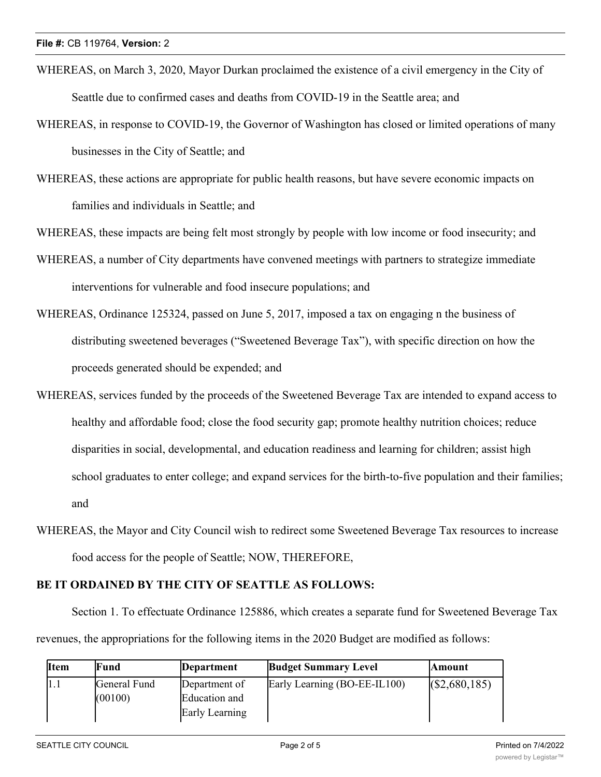- WHEREAS, on March 3, 2020, Mayor Durkan proclaimed the existence of a civil emergency in the City of Seattle due to confirmed cases and deaths from COVID-19 in the Seattle area; and
- WHEREAS, in response to COVID-19, the Governor of Washington has closed or limited operations of many businesses in the City of Seattle; and
- WHEREAS, these actions are appropriate for public health reasons, but have severe economic impacts on families and individuals in Seattle; and

WHEREAS, these impacts are being felt most strongly by people with low income or food insecurity; and

- WHEREAS, a number of City departments have convened meetings with partners to strategize immediate interventions for vulnerable and food insecure populations; and
- WHEREAS, Ordinance 125324, passed on June 5, 2017, imposed a tax on engaging n the business of distributing sweetened beverages ("Sweetened Beverage Tax"), with specific direction on how the proceeds generated should be expended; and
- WHEREAS, services funded by the proceeds of the Sweetened Beverage Tax are intended to expand access to healthy and affordable food; close the food security gap; promote healthy nutrition choices; reduce disparities in social, developmental, and education readiness and learning for children; assist high school graduates to enter college; and expand services for the birth-to-five population and their families; and
- WHEREAS, the Mayor and City Council wish to redirect some Sweetened Beverage Tax resources to increase food access for the people of Seattle; NOW, THEREFORE,

## **BE IT ORDAINED BY THE CITY OF SEATTLE AS FOLLOWS:**

Section 1. To effectuate Ordinance 125886, which creates a separate fund for Sweetened Beverage Tax revenues, the appropriations for the following items in the 2020 Budget are modified as follows:

| <b>IItem</b> | Fund         | Department     | <b>Budget Summary Level</b>  | <b>Amount</b> |
|--------------|--------------|----------------|------------------------------|---------------|
| 1.1          | General Fund | Department of  | Early Learning (BO-EE-IL100) | (S2,680,185)  |
|              | (00100)      | Education and  |                              |               |
|              |              | Early Learning |                              |               |

Early Learning (BO-EE-IL100) \$2,680,185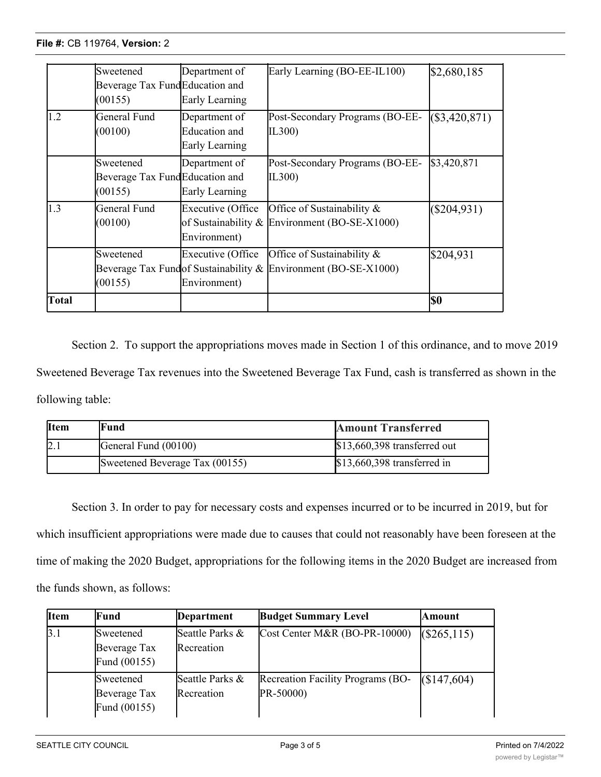|              | Sweetened<br>Beverage Tax FundEducation and<br>(00155) | Department of<br>Early Learning                  | Early Learning (BO-EE-IL100)                                                                  | \$2,680,185    |
|--------------|--------------------------------------------------------|--------------------------------------------------|-----------------------------------------------------------------------------------------------|----------------|
| 1.2          | General Fund<br>(00100)                                | Department of<br>Education and<br>Early Learning | Post-Secondary Programs (BO-EE-<br>IL300)                                                     | (S3, 420, 871) |
|              | Sweetened<br>Beverage Tax FundEducation and<br>(00155) | Department of<br>Early Learning                  | Post-Secondary Programs (BO-EE-<br>IL300)                                                     | \$3,420,871    |
| 1.3          | General Fund<br>(00100)                                | Executive (Office<br>Environment)                | Office of Sustainability &<br>of Sustainability & Environment (BO-SE-X1000)                   | $(\$204,931)$  |
|              | Sweetened<br>(00155)                                   | Executive (Office<br>Environment)                | Office of Sustainability &<br>Beverage Tax Fund of Sustainability & Environment (BO-SE-X1000) | \$204,931      |
| <b>Total</b> |                                                        |                                                  |                                                                                               | l\$0           |

Section 2. To support the appropriations moves made in Section 1 of this ordinance, and to move 2019 Sweetened Beverage Tax revenues into the Sweetened Beverage Tax Fund, cash is transferred as shown in the following table:

| <b>I</b> tem | Fund                           | <b>Amount Transferred</b>     |
|--------------|--------------------------------|-------------------------------|
| 2.           | General Fund (00100)           | $$13,660,398$ transferred out |
|              | Sweetened Beverage Tax (00155) | $$13,660,398$ transferred in  |

Section 3. In order to pay for necessary costs and expenses incurred or to be incurred in 2019, but for which insufficient appropriations were made due to causes that could not reasonably have been foreseen at the time of making the 2020 Budget, appropriations for the following items in the 2020 Budget are increased from the funds shown, as follows:

| <b>Item</b> | Fund                                      | Department                    | <b>Budget Summary Level</b>                    | Amount      |
|-------------|-------------------------------------------|-------------------------------|------------------------------------------------|-------------|
| 3.1         | Sweetened<br>Beverage Tax<br>Fund (00155) | Seattle Parks &<br>Recreation | Cost Center M&R (BO-PR-10000)                  | (S265, 115) |
|             | Sweetened<br>Beverage Tax<br>Fund (00155) | Seattle Parks &<br>Recreation | Recreation Facility Programs (BO-<br>PR-50000) | (S147, 604) |

Neighborhoods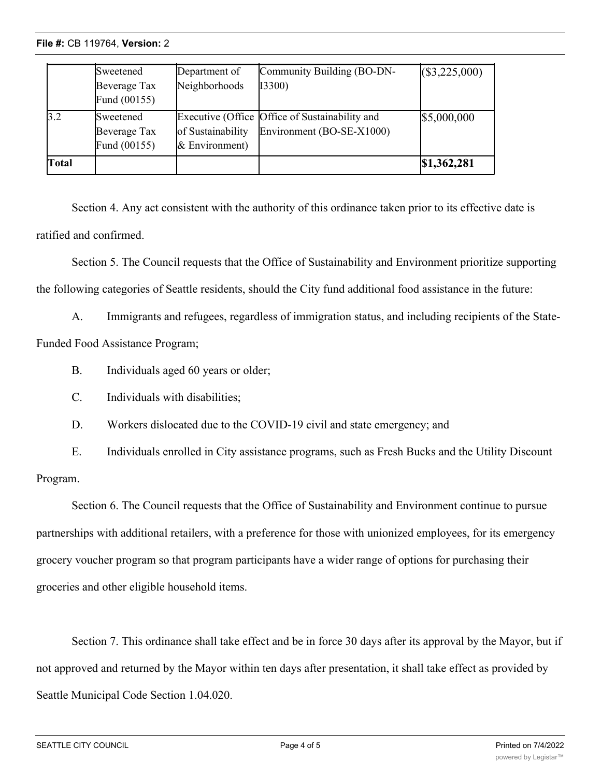**File #: CB 119764, Version: 2**  $\frac{1}{\sqrt{2}}$ 

|              | Sweetened<br>Beverage Tax<br>Fund (00155) | Department of<br>Neighborhoods      | Community Building (BO-DN-<br>I3300)                                        | (\$3,225,000) |
|--------------|-------------------------------------------|-------------------------------------|-----------------------------------------------------------------------------|---------------|
| 3.2          | Sweetened<br>Beverage Tax<br>Fund (00155) | of Sustainability<br>& Environment) | Executive (Office Office of Sustainability and<br>Environment (BO-SE-X1000) | \$5,000,000   |
| <b>Total</b> |                                           |                                     |                                                                             | \$1,362,281   |

Section 4. Any act consistent with the authority of this ordinance taken prior to its effective date is ratified and confirmed.

Section 5. The Council requests that the Office of Sustainability and Environment prioritize supporting the following categories of Seattle residents, should the City fund additional food assistance in the future:

A. Immigrants and refugees, regardless of immigration status, and including recipients of the State-Funded Food Assistance Program;

B. Individuals aged 60 years or older;

C. Individuals with disabilities;

D. Workers dislocated due to the COVID-19 civil and state emergency; and

E. Individuals enrolled in City assistance programs, such as Fresh Bucks and the Utility Discount Program.

Section 6. The Council requests that the Office of Sustainability and Environment continue to pursue partnerships with additional retailers, with a preference for those with unionized employees, for its emergency grocery voucher program so that program participants have a wider range of options for purchasing their groceries and other eligible household items.

Section 7. This ordinance shall take effect and be in force 30 days after its approval by the Mayor, but if not approved and returned by the Mayor within ten days after presentation, it shall take effect as provided by Seattle Municipal Code Section 1.04.020.